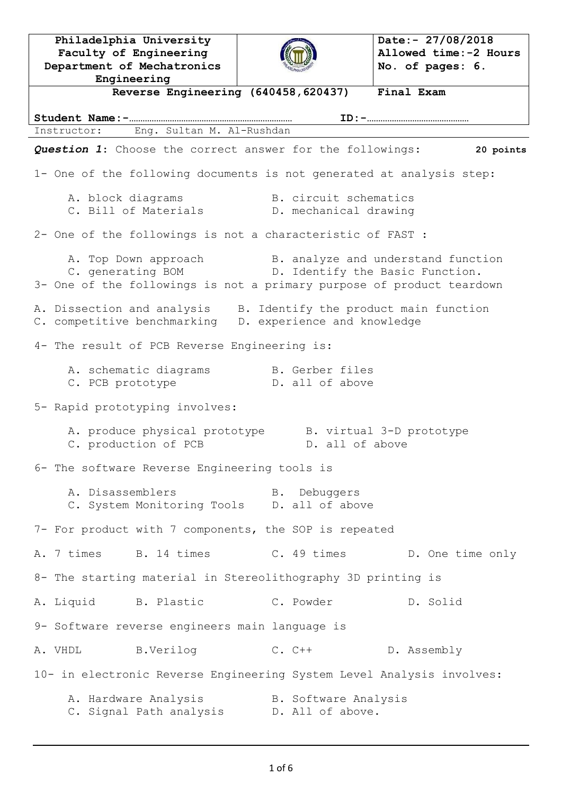**Philadelphia University Faculty of Engineering Department of Mechatronics Engineering Date:- 27/08/2018 Allowed time:-2 Hours No. of pages: 6. Reverse Engineering (640458,620437) Final Exam Student Name:-……………………………………………………………… ID:-………………………………………** Instructor: Eng. Sultan M. Al-Rushdan *Question 1*: Choose the correct answer for the followings: **20 points** 1- One of the following documents is not generated at analysis step: A. block diagrams T. B. circuit schematics C. Bill of Materials (D. mechanical drawing 2- One of the followings is not a characteristic of FAST : A. Top Down approach B. analyze and understand function C. generating BOM The D. Identify the Basic Function. 3- One of the followings is not a primary purpose of product teardown A. Dissection and analysis B. Identify the product main function C. competitive benchmarking D. experience and knowledge 4- The result of PCB Reverse Engineering is: A. schematic diagrams B. Gerber files C. PCB prototype The D. all of above 5- Rapid prototyping involves: A. produce physical prototype B. virtual 3-D prototype C. production of PCB B. all of above 6- The software Reverse Engineering tools is A. Disassemblers B. Debuggers C. System Monitoring Tools D. all of above 7- For product with 7 components, the SOP is repeated A. 7 times B. 14 times C. 49 times D. One time only 8- The starting material in Stereolithography 3D printing is A. Liquid B. Plastic C. Powder D. Solid 9- Software reverse engineers main language is A. VHDL B.Verilog C. C++ D. Assembly 10- in electronic Reverse Engineering System Level Analysis involves: A. Hardware Analysis B. Software Analysis C. Signal Path analysis D. All of above.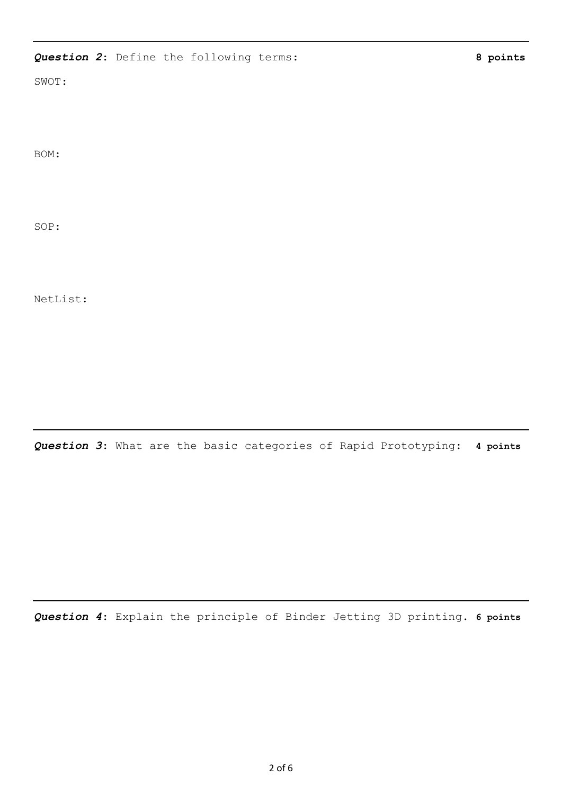## *Question 2*: Define the following terms: **8 points**

SWOT:

BOM:

SOP:

NetList:

*Question 3*: What are the basic categories of Rapid Prototyping: **4 points**

*Question 4*: Explain the principle of Binder Jetting 3D printing. **6 points**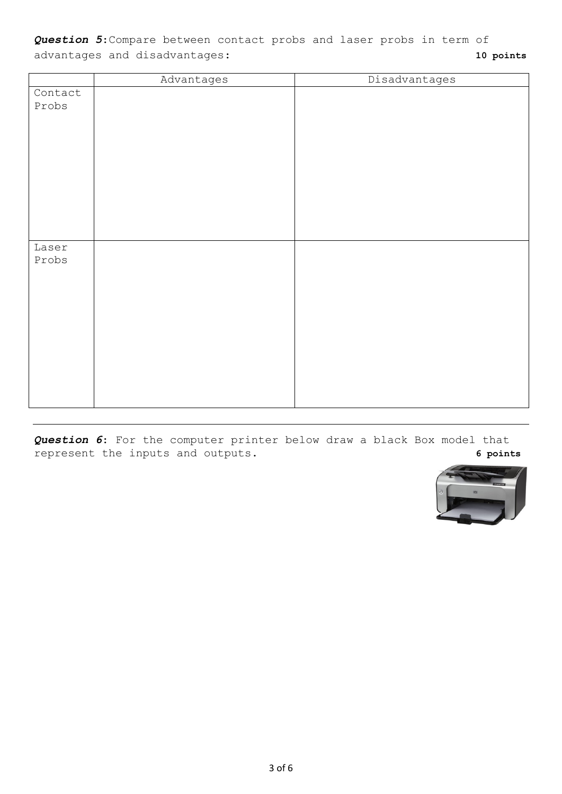*Question 5*:Compare between contact probs and laser probs in term of advantages and disadvantages: **10 points**

|         | Advantages | Disadvantages |
|---------|------------|---------------|
| Contact |            |               |
| Probs   |            |               |
|         |            |               |
|         |            |               |
|         |            |               |
|         |            |               |
|         |            |               |
|         |            |               |
|         |            |               |
|         |            |               |
|         |            |               |
|         |            |               |
| Laser   |            |               |
| Probs   |            |               |
|         |            |               |
|         |            |               |
|         |            |               |
|         |            |               |
|         |            |               |
|         |            |               |
|         |            |               |
|         |            |               |
|         |            |               |
|         |            |               |
|         |            |               |
|         |            |               |

*Question 6*: For the computer printer below draw a black Box model that represent the inputs and outputs. **6 points**

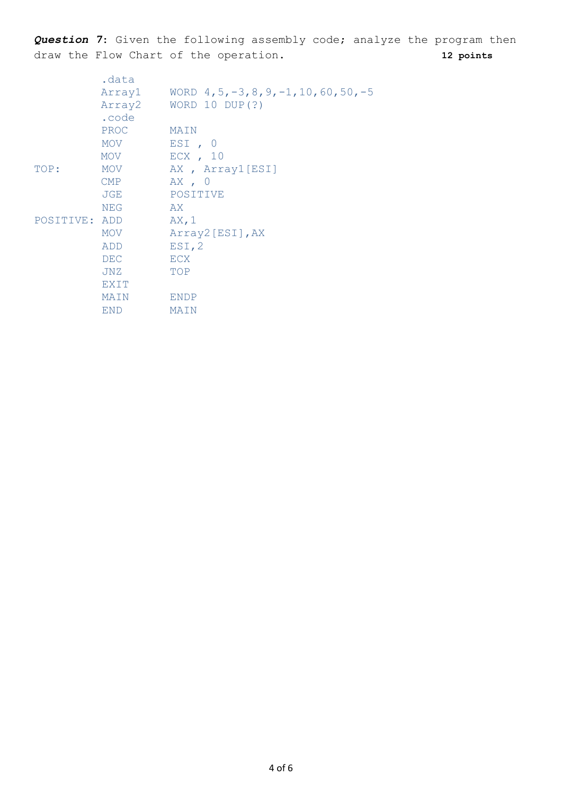*Question 7*: Given the following assembly code; analyze the program then draw the Flow Chart of the operation. **12 points**

|               | .data       |                                           |
|---------------|-------------|-------------------------------------------|
|               | Array1      | WORD $4, 5, -3, 8, 9, -1, 10, 60, 50, -5$ |
|               | Array2      | WORD 10 DUP $(?)$                         |
|               | .code       |                                           |
|               | PROC        | MAIN                                      |
|               | MOV         | EST, 0                                    |
|               | MOV         | $ECX$ , 10                                |
| TOP:          | MOV         | AX, Array1[ESI]                           |
|               | <b>CMP</b>  | AX, 0                                     |
|               | JGE         | POSITIVE                                  |
|               | <b>NEG</b>  | AX                                        |
| POSITIVE: ADD |             | AX, 1                                     |
|               | MOV         | Array2[ESI], AX                           |
|               | ADD         | EST, 2                                    |
|               | <b>DEC</b>  | ECX                                       |
|               | JNZ         | TOP                                       |
|               | <b>EXIT</b> |                                           |
|               | MAIN        | <b>ENDP</b>                               |
|               | <b>END</b>  | MAIN                                      |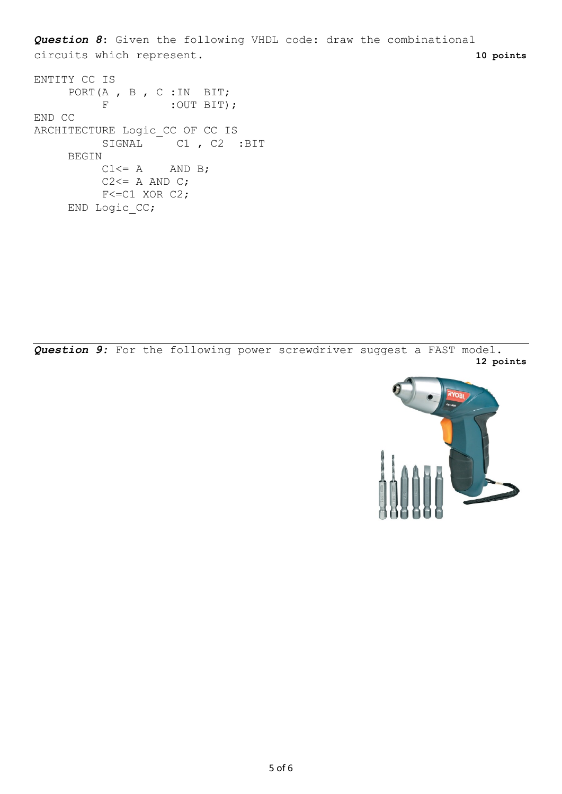*Question 8*: Given the following VHDL code: draw the combinational circuits which represent. **10 points**

```
ENTITY CC IS
    PORT (A , B , C : IN BIT;
         F : OUT BIT) ;
END CC
ARCHITECTURE Logic_CC OF CC IS
         SIGNAL C1, C2 :BIT
    BEGIN
         C1 \leq A AND B;
         C2 \leq A AND C;
         F<=C1 XOR C2;
    END Logic_CC;
```
*Question 9:* For the following power screwdriver suggest a FAST model. **12 points**